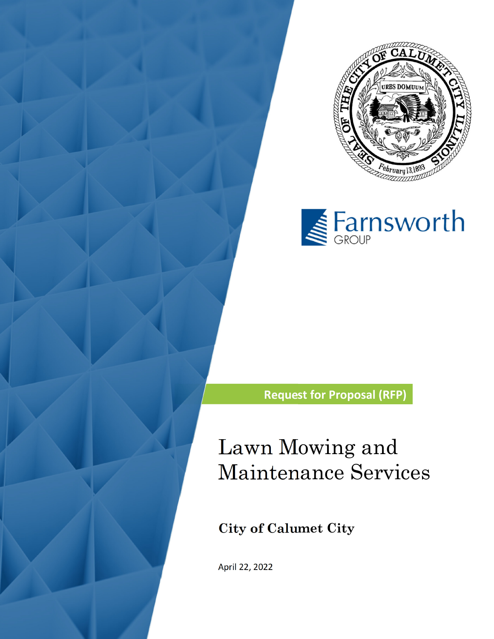



**Request for Proposal (RFP)**

# Lawn Mowing and Maintenance Services

**City of Calumet City** 

April 22, 2022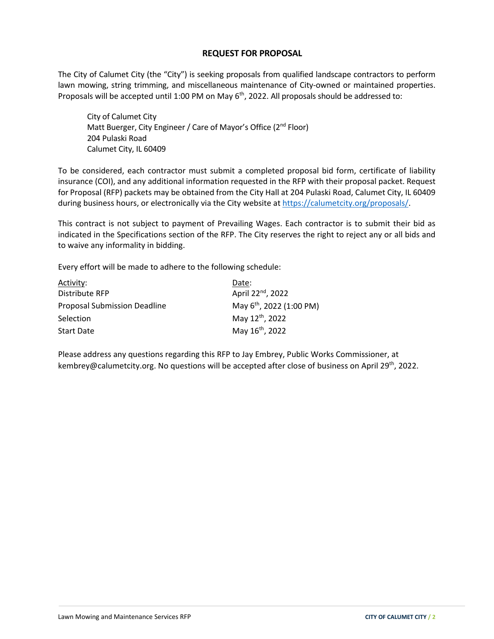## **REQUEST FOR PROPOSAL**

The City of Calumet City (the "City") is seeking proposals from qualified landscape contractors to perform lawn mowing, string trimming, and miscellaneous maintenance of City-owned or maintained properties. Proposals will be accepted until 1:00 PM on May  $6<sup>th</sup>$ , 2022. All proposals should be addressed to:

City of Calumet City Matt Buerger, City Engineer / Care of Mayor's Office (2<sup>nd</sup> Floor) 204 Pulaski Road Calumet City, IL 60409

To be considered, each contractor must submit a completed proposal bid form, certificate of liability insurance (COI), and any additional information requested in the RFP with their proposal packet. Request for Proposal (RFP) packets may be obtained from the City Hall at 204 Pulaski Road, Calumet City, IL 60409 during business hours, or electronically via the City website at https://calumetcity.org/proposals/.

This contract is not subject to payment of Prevailing Wages. Each contractor is to submit their bid as indicated in the Specifications section of the RFP. The City reserves the right to reject any or all bids and to waive any informality in bidding.

Every effort will be made to adhere to the following schedule:

| Activity:                           | Date:                                |
|-------------------------------------|--------------------------------------|
| Distribute RFP                      | April 22 <sup>nd</sup> , 2022        |
| <b>Proposal Submission Deadline</b> | May 6 <sup>th</sup> , 2022 (1:00 PM) |
| Selection                           | May 12 <sup>th</sup> , 2022          |
| <b>Start Date</b>                   | May 16 <sup>th</sup> , 2022          |

Please address any questions regarding this RFP to Jay Embrey, Public Works Commissioner, at kembrey@calumetcity.org. No questions will be accepted after close of business on April 29<sup>th</sup>, 2022.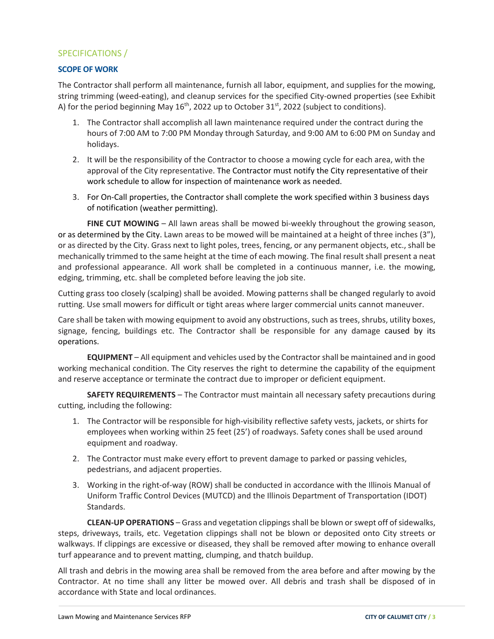# SPECIFICATIONS /

#### **SCOPE OF WORK**

The Contractor shall perform all maintenance, furnish all labor, equipment, and supplies for the mowing, string trimming (weed‐eating), and cleanup services for the specified City‐owned properties (see Exhibit A) for the period beginning May  $16<sup>th</sup>$ , 2022 up to October 31 $st$ , 2022 (subject to conditions).

- 1. The Contractor shall accomplish all lawn maintenance required under the contract during the hours of 7:00 AM to 7:00 PM Monday through Saturday, and 9:00 AM to 6:00 PM on Sunday and holidays.
- 2. It will be the responsibility of the Contractor to choose a mowing cycle for each area, with the approval of the City representative. The Contractor must notify the City representative of their work schedule to allow for inspection of maintenance work as needed.
- 3. For On‐Call properties, the Contractor shall complete the work specified within 3 business days of notification (weather permitting).

**FINE CUT MOWING** – All lawn areas shall be mowed bi-weekly throughout the growing season, or as determined by the City. Lawn areas to be mowed will be maintained at a height of three inches (3"), or as directed by the City. Grass next to light poles, trees, fencing, or any permanent objects, etc., shall be mechanically trimmed to the same height at the time of each mowing. The final result shall present a neat and professional appearance. All work shall be completed in a continuous manner, i.e. the mowing, edging, trimming, etc. shall be completed before leaving the job site.

Cutting grass too closely (scalping) shall be avoided. Mowing patterns shall be changed regularly to avoid rutting. Use small mowers for difficult or tight areas where larger commercial units cannot maneuver.

Care shall be taken with mowing equipment to avoid any obstructions, such as trees, shrubs, utility boxes, signage, fencing, buildings etc. The Contractor shall be responsible for any damage caused by its operations.

**EQUIPMENT** – All equipment and vehicles used by the Contractor shall be maintained and in good working mechanical condition. The City reserves the right to determine the capability of the equipment and reserve acceptance or terminate the contract due to improper or deficient equipment.

**SAFETY REQUIREMENTS** – The Contractor must maintain all necessary safety precautions during cutting, including the following:

- 1. The Contractor will be responsible for high-visibility reflective safety vests, jackets, or shirts for employees when working within 25 feet (25') of roadways. Safety cones shall be used around equipment and roadway.
- 2. The Contractor must make every effort to prevent damage to parked or passing vehicles, pedestrians, and adjacent properties.
- 3. Working in the right‐of‐way (ROW) shall be conducted in accordance with the Illinois Manual of Uniform Traffic Control Devices (MUTCD) and the Illinois Department of Transportation (IDOT) Standards.

**CLEAN‐UP OPERATIONS** – Grass and vegetation clippingsshall be blown orswept off ofsidewalks, steps, driveways, trails, etc. Vegetation clippings shall not be blown or deposited onto City streets or walkways. If clippings are excessive or diseased, they shall be removed after mowing to enhance overall turf appearance and to prevent matting, clumping, and thatch buildup.

All trash and debris in the mowing area shall be removed from the area before and after mowing by the Contractor. At no time shall any litter be mowed over. All debris and trash shall be disposed of in accordance with State and local ordinances.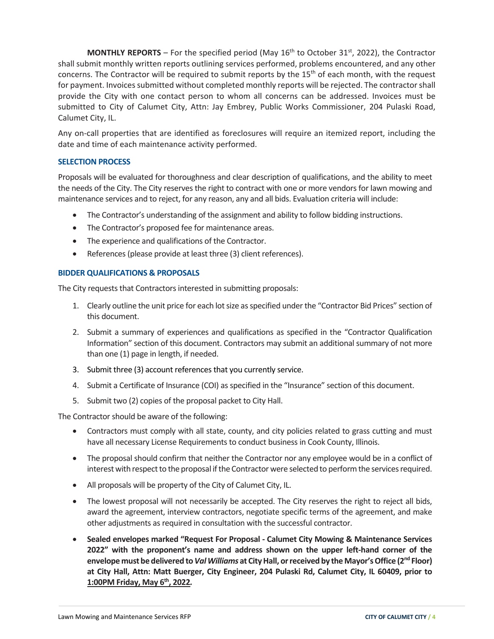**MONTHLY REPORTS** – For the specified period (May 16<sup>th</sup> to October 31<sup>st</sup>, 2022), the Contractor shall submit monthly written reports outlining services performed, problems encountered, and any other concerns. The Contractor will be required to submit reports by the 15<sup>th</sup> of each month, with the request for payment. Invoices submitted without completed monthly reports will be rejected. The contractor shall provide the City with one contact person to whom all concerns can be addressed. Invoices must be submitted to City of Calumet City, Attn: Jay Embrey, Public Works Commissioner, 204 Pulaski Road, Calumet City, IL.

Any on-call properties that are identified as foreclosures will require an itemized report, including the date and time of each maintenance activity performed.

### **SELECTION PROCESS**

Proposals will be evaluated for thoroughness and clear description of qualifications, and the ability to meet the needs of the City. The City reserves the right to contract with one or more vendors for lawn mowing and maintenance services and to reject, for any reason, any and all bids. Evaluation criteria will include:

- The Contractor's understanding of the assignment and ability to follow bidding instructions.
- The Contractor's proposed fee for maintenance areas.
- The experience and qualifications of the Contractor.
- References (please provide at least three (3) client references).

#### **BIDDER QUALIFICATIONS & PROPOSALS**

The City requests that Contractors interested in submitting proposals:

- 1. Clearly outline the unit price for each lot size as specified under the "Contractor Bid Prices" section of this document.
- 2. Submit a summary of experiences and qualifications as specified in the "Contractor Qualification Information" section of this document. Contractors may submit an additional summary of not more than one (1) page in length, if needed.
- 3. Submit three (3) account references that you currently service.
- 4. Submit a Certificate of Insurance (COI) as specified in the "Insurance" section of this document.
- 5. Submit two (2) copies of the proposal packet to City Hall.

The Contractor should be aware of the following:

- Contractors must comply with all state, county, and city policies related to grass cutting and must have all necessary License Requirements to conduct business in Cook County, Illinois.
- The proposal should confirm that neither the Contractor nor any employee would be in a conflict of interest with respect to the proposal if the Contractor were selected to perform the services required.
- All proposals will be property of the City of Calumet City, IL.
- The lowest proposal will not necessarily be accepted. The City reserves the right to reject all bids, award the agreement, interview contractors, negotiate specific terms of the agreement, and make other adjustments as required in consultation with the successful contractor.
- **Sealed envelopes marked "Request For Proposal ‐ Calumet City Mowing & Maintenance Services 2022" with the proponent's name and address shown on the upper left‐hand corner of the envelope must be delivered to***ValWilliams* **at CityHall, orreceived by theMayor'sOffice (2nd Floor) at City Hall, Attn: Matt Buerger, City Engineer, 204 Pulaski Rd, Calumet City, IL 60409, prior to 1:00PM Friday, May 6th, 2022***.*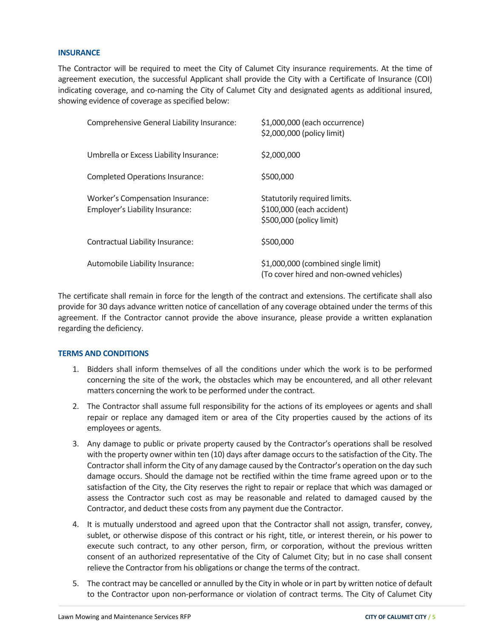#### **INSURANCE**

The Contractor will be required to meet the City of Calumet City insurance requirements. At the time of agreement execution, the successful Applicant shall provide the City with a Certificate of Insurance (COI) indicating coverage, and co-naming the City of Calumet City and designated agents as additional insured, showing evidence of coverage as specified below:

| Comprehensive General Liability Insurance:                          | \$1,000,000 (each occurrence)<br>\$2,000,000 (policy limit)                           |
|---------------------------------------------------------------------|---------------------------------------------------------------------------------------|
| Umbrella or Excess Liability Insurance:                             | \$2,000,000                                                                           |
| <b>Completed Operations Insurance:</b>                              | \$500,000                                                                             |
| Worker's Compensation Insurance:<br>Employer's Liability Insurance: | Statutorily required limits.<br>\$100,000 (each accident)<br>\$500,000 (policy limit) |
| Contractual Liability Insurance:                                    | \$500,000                                                                             |
| Automobile Liability Insurance:                                     | \$1,000,000 (combined single limit)<br>(To cover hired and non-owned vehicles)        |

The certificate shall remain in force for the length of the contract and extensions. The certificate shall also provide for 30 days advance written notice of cancellation of any coverage obtained under the terms of this agreement. If the Contractor cannot provide the above insurance, please provide a written explanation regarding the deficiency.

#### **TERMS AND CONDITIONS**

- 1. Bidders shall inform themselves of all the conditions under which the work is to be performed concerning the site of the work, the obstacles which may be encountered, and all other relevant matters concerning the work to be performed under the contract.
- 2. The Contractor shall assume full responsibility for the actions of its employees or agents and shall repair or replace any damaged item or area of the City properties caused by the actions of its employees or agents.
- 3. Any damage to public or private property caused by the Contractor's operations shall be resolved with the property owner within ten (10) days after damage occurs to the satisfaction of the City. The Contractor shall inform the City of any damage caused by the Contractor's operation on the day such damage occurs. Should the damage not be rectified within the time frame agreed upon or to the satisfaction of the City, the City reserves the right to repair or replace that which was damaged or assess the Contractor such cost as may be reasonable and related to damaged caused by the Contractor, and deduct these costs from any payment due the Contractor.
- 4. It is mutually understood and agreed upon that the Contractor shall not assign, transfer, convey, sublet, or otherwise dispose of this contract or his right, title, or interest therein, or his power to execute such contract, to any other person, firm, or corporation, without the previous written consent of an authorized representative of the City of Calumet City; but in no case shall consent relieve the Contractor from his obligations or change the terms of the contract.
- 5. The contract may be cancelled or annulled by the City in whole or in part by written notice of default to the Contractor upon non‐performance or violation of contract terms. The City of Calumet City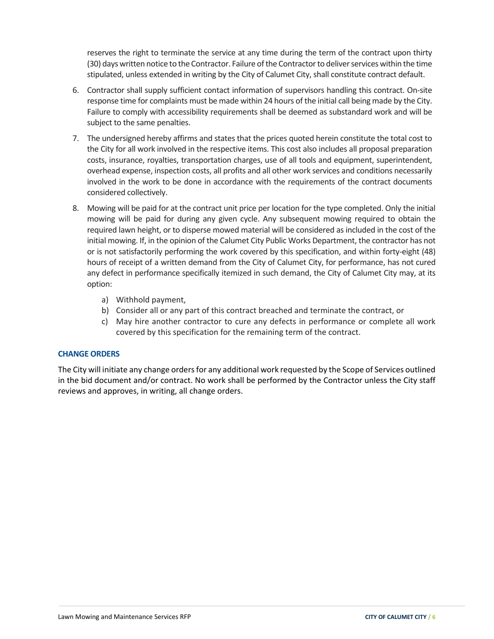reserves the right to terminate the service at any time during the term of the contract upon thirty (30) days written notice to the Contractor. Failure of the Contractor to deliver services within the time stipulated, unless extended in writing by the City of Calumet City, shall constitute contract default.

- 6. Contractor shall supply sufficient contact information of supervisors handling this contract. On‐site response time for complaints must be made within 24 hours of the initial call being made by the City. Failure to comply with accessibility requirements shall be deemed as substandard work and will be subject to the same penalties.
- 7. The undersigned hereby affirms and states that the prices quoted herein constitute the total cost to the City for all work involved in the respective items. This cost also includes all proposal preparation costs, insurance, royalties, transportation charges, use of all tools and equipment, superintendent, overhead expense, inspection costs, all profits and all other work services and conditions necessarily involved in the work to be done in accordance with the requirements of the contract documents considered collectively.
- 8. Mowing will be paid for at the contract unit price per location for the type completed. Only the initial mowing will be paid for during any given cycle. Any subsequent mowing required to obtain the required lawn height, or to disperse mowed material will be considered as included in the cost of the initial mowing. If, in the opinion of the Calumet City Public Works Department, the contractor has not or is not satisfactorily performing the work covered by this specification, and within forty‐eight (48) hours of receipt of a written demand from the City of Calumet City, for performance, has not cured any defect in performance specifically itemized in such demand, the City of Calumet City may, at its option:
	- a) Withhold payment,
	- b) Consider all or any part of this contract breached and terminate the contract, or
	- c) May hire another contractor to cure any defects in performance or complete all work covered by this specification for the remaining term of the contract.

### **CHANGE ORDERS**

The City will initiate any change ordersfor any additional work requested by the Scope of Services outlined in the bid document and/or contract. No work shall be performed by the Contractor unless the City staff reviews and approves, in writing, all change orders.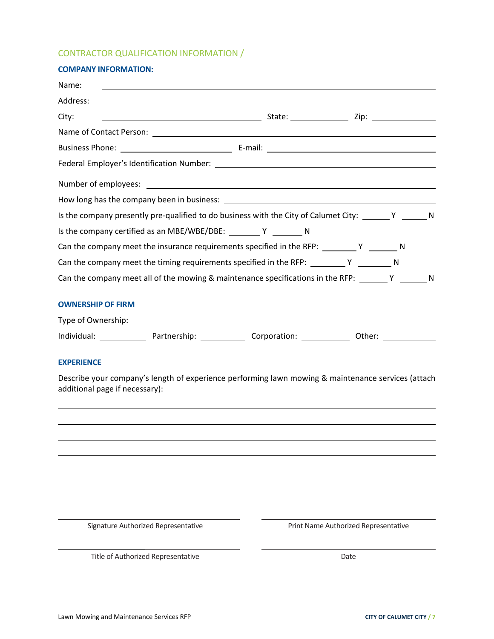## CONTRACTOR QUALIFICATION INFORMATION /

| <b>COMPANY INFORMATION:</b>                                                                                                         |  |  |
|-------------------------------------------------------------------------------------------------------------------------------------|--|--|
| Name:<br><u>and the contract of the contract of the contract of the contract of the contract of the contract of the contract of</u> |  |  |
| Address:<br><u> 1989 - Johann Stoff, deutscher Stoffen und der Stoffen und der Stoffen und der Stoffen und der Stoffen und der</u>  |  |  |
| City:                                                                                                                               |  |  |
|                                                                                                                                     |  |  |
|                                                                                                                                     |  |  |
|                                                                                                                                     |  |  |
|                                                                                                                                     |  |  |
|                                                                                                                                     |  |  |
| Is the company presently pre-qualified to do business with the City of Calumet City: _______ Y _______ N                            |  |  |
| Is the company certified as an MBE/WBE/DBE: __________ Y _________ N                                                                |  |  |
| Can the company meet the insurance requirements specified in the RFP: $\begin{array}{c} \nY \end{array}$ N                          |  |  |
|                                                                                                                                     |  |  |
| Can the company meet all of the mowing & maintenance specifications in the RFP: Y _______ Y _______ N                               |  |  |
| <b>OWNERSHIP OF FIRM</b>                                                                                                            |  |  |
| Type of Ownership:                                                                                                                  |  |  |

| Individual: | Partnership: | Corporation: | )ther: |
|-------------|--------------|--------------|--------|
|-------------|--------------|--------------|--------|

#### **EXPERIENCE**

Describe your company's length of experience performing lawn mowing & maintenance services (attach additional page if necessary):

<u> 2008 - Andrea Branden, amerikan basar personal dan berasal dalam pengaran basar personal dan personal dan pe</u> <u> 1980 - Andrea Santa Alemania, amerikana amerikana amerikana amerikana amerikana amerikana amerikana amerikan</u>

<u> 1980 - Andrea Santa Alemania, politikar politikar (h. 1980).</u>

<u> 1989 - Johann John Stein, fransk politik (f. 1989)</u>

Signature Authorized Representative **Signature Authorized Representative Print Name Authorized Representative** 

Title of Authorized Representative **Date** Date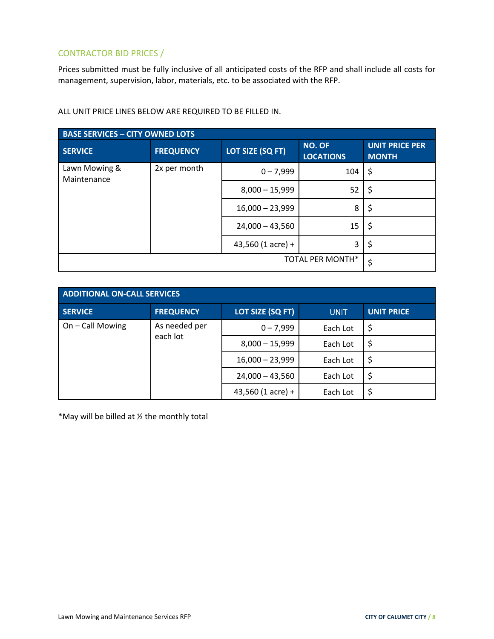# CONTRACTOR BID PRICES /

Prices submitted must be fully inclusive of all anticipated costs of the RFP and shall include all costs for management, supervision, labor, materials, etc. to be associated with the RFP.

| <b>BASE SERVICES - CITY OWNED LOTS</b> |                  |                     |                                   |                                       |  |
|----------------------------------------|------------------|---------------------|-----------------------------------|---------------------------------------|--|
| <b>SERVICE</b>                         | <b>FREQUENCY</b> | LOT SIZE (SQ FT)    | <b>NO. OF</b><br><b>LOCATIONS</b> | <b>UNIT PRICE PER</b><br><b>MONTH</b> |  |
| Lawn Mowing &<br>Maintenance           | 2x per month     | $0 - 7,999$         | 104                               | \$                                    |  |
|                                        |                  | $8,000 - 15,999$    | 52                                | \$                                    |  |
|                                        |                  | $16,000 - 23,999$   | 8                                 | Ş                                     |  |
|                                        |                  | $24,000 - 43,560$   | 15                                | \$                                    |  |
|                                        |                  | 43,560 $(1$ acre) + | 3                                 | Ş                                     |  |
|                                        | \$               |                     |                                   |                                       |  |

ALL UNIT PRICE LINES BELOW ARE REQUIRED TO BE FILLED IN.

| <b>ADDITIONAL ON-CALL SERVICES</b>            |                  |                   |             |                   |  |
|-----------------------------------------------|------------------|-------------------|-------------|-------------------|--|
| <b>SERVICE</b>                                | <b>FREQUENCY</b> | LOT SIZE (SQ FT)  | <b>UNIT</b> | <b>UNIT PRICE</b> |  |
| On - Call Mowing<br>As needed per<br>each lot | $0 - 7,999$      | Each Lot          | \$          |                   |  |
|                                               |                  | $8,000 - 15,999$  | Each Lot    | \$                |  |
|                                               |                  | $16,000 - 23,999$ | Each Lot    | \$                |  |
|                                               |                  | $24,000 - 43,560$ | Each Lot    | \$                |  |
|                                               |                  | 43,560 (1 acre) + | Each Lot    | \$                |  |

\*May will be billed at ½ the monthly total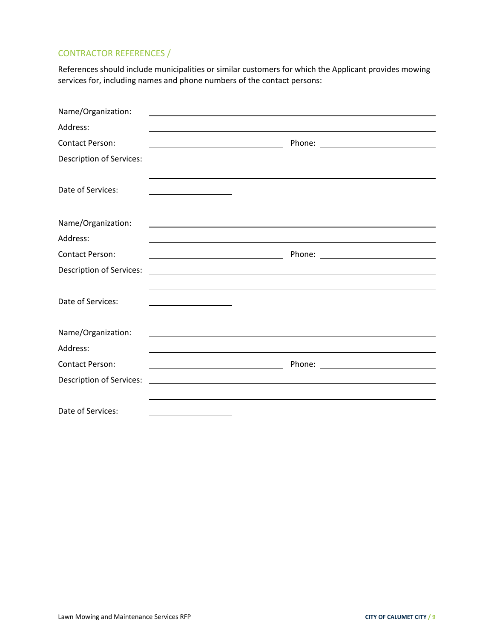# CONTRACTOR REFERENCES /

References should include municipalities or similar customers for which the Applicant provides mowing services for, including names and phone numbers of the contact persons:

| Name/Organization:              |                                                                                                                                                                                                                               |
|---------------------------------|-------------------------------------------------------------------------------------------------------------------------------------------------------------------------------------------------------------------------------|
| Address:                        |                                                                                                                                                                                                                               |
| <b>Contact Person:</b>          |                                                                                                                                                                                                                               |
| <b>Description of Services:</b> | the control of the control of the control of the control of the control of the control of the control of the control of the control of the control of the control of the control of the control of the control of the control |
| Date of Services:               |                                                                                                                                                                                                                               |
| Name/Organization:              |                                                                                                                                                                                                                               |
| Address:                        |                                                                                                                                                                                                                               |
| <b>Contact Person:</b>          |                                                                                                                                                                                                                               |
| <b>Description of Services:</b> | <u> 1989 - Johann Stoff, deutscher Stoff, der Stoff, der Stoff, der Stoff, der Stoff, der Stoff, der Stoff, der S</u>                                                                                                         |
| Date of Services:               |                                                                                                                                                                                                                               |
| Name/Organization:              |                                                                                                                                                                                                                               |
| Address:                        |                                                                                                                                                                                                                               |
| <b>Contact Person:</b>          |                                                                                                                                                                                                                               |
| <b>Description of Services:</b> |                                                                                                                                                                                                                               |
| Date of Services:               |                                                                                                                                                                                                                               |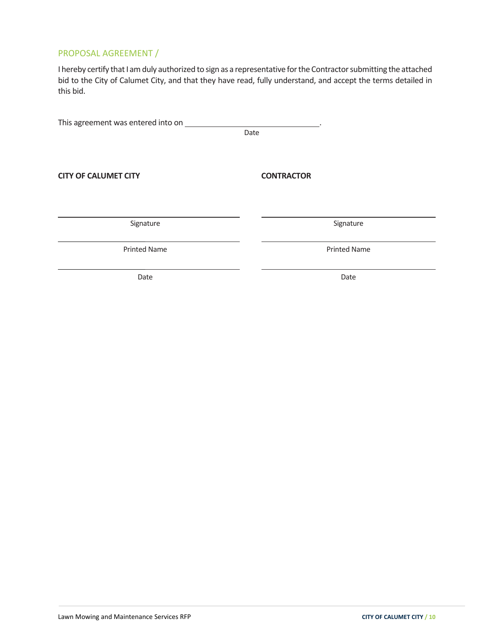# PROPOSAL AGREEMENT /

I hereby certify that I am duly authorized to sign as a representative for the Contractor submitting the attached bid to the City of Calumet City, and that they have read, fully understand, and accept the terms detailed in this bid.

This agreement was entered into on \_\_\_\_\_\_\_\_\_\_\_ **Date** and the contract of the contract of the contract of the contract of the contract of the contract of the contract of the contract of the contract of the contract of the contract of the contract of the contract of the **CITY OF CALUMET CITY CONTRACTOR**

<u> 1980 - Andrea Santa Alemania, politikar politikar (h. 1980).</u> Signature Signature **Signature Signature** 

Printed Name **Drinted Name Printed Name** 

Date **Date Date Date**  *Date* **Date**  *Date* 

<u> 1989 - Johann John Stein, fransk politik (f. 1989)</u>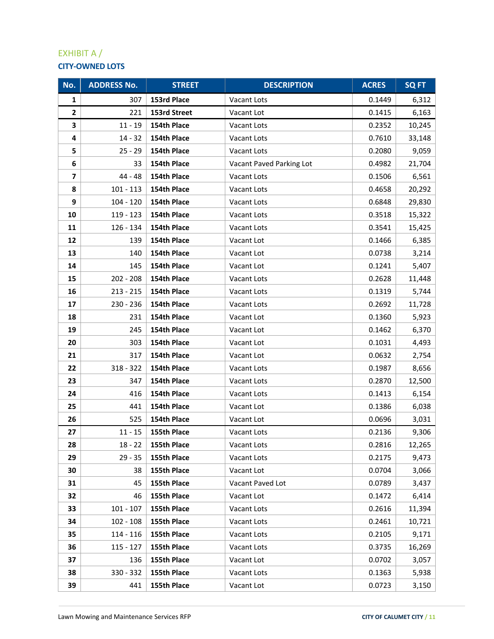# EXHIBIT A / **CITY‐OWNED LOTS**

| No.            | <b>ADDRESS No.</b> | <b>STREET</b> | <b>DESCRIPTION</b>       | <b>ACRES</b> | <b>SQ FT</b> |
|----------------|--------------------|---------------|--------------------------|--------------|--------------|
| 1              | 307                | 153rd Place   | Vacant Lots              | 0.1449       | 6,312        |
| $\mathbf{2}$   | 221                | 153rd Street  | Vacant Lot               | 0.1415       | 6,163        |
| 3              | $11 - 19$          | 154th Place   | Vacant Lots              | 0.2352       | 10,245       |
| 4              | $14 - 32$          | 154th Place   | Vacant Lots              | 0.7610       | 33,148       |
| 5              | $25 - 29$          | 154th Place   | Vacant Lots              | 0.2080       | 9,059        |
| 6              | 33                 | 154th Place   | Vacant Paved Parking Lot | 0.4982       | 21,704       |
| $\overline{ }$ | $44 - 48$          | 154th Place   | Vacant Lots              | 0.1506       | 6,561        |
| 8              | $101 - 113$        | 154th Place   | Vacant Lots              | 0.4658       | 20,292       |
| 9              | $104 - 120$        | 154th Place   | Vacant Lots              | 0.6848       | 29,830       |
| 10             | 119 - 123          | 154th Place   | Vacant Lots              | 0.3518       | 15,322       |
| 11             | 126 - 134          | 154th Place   | Vacant Lots              | 0.3541       | 15,425       |
| 12             | 139                | 154th Place   | Vacant Lot               | 0.1466       | 6,385        |
| 13             | 140                | 154th Place   | Vacant Lot               | 0.0738       | 3,214        |
| 14             | 145                | 154th Place   | Vacant Lot               | 0.1241       | 5,407        |
| 15             | $202 - 208$        | 154th Place   | Vacant Lots              | 0.2628       | 11,448       |
| 16             | $213 - 215$        | 154th Place   | Vacant Lots              | 0.1319       | 5,744        |
| 17             | 230 - 236          | 154th Place   | Vacant Lots              | 0.2692       | 11,728       |
| 18             | 231                | 154th Place   | Vacant Lot               | 0.1360       | 5,923        |
| 19             | 245                | 154th Place   | Vacant Lot               | 0.1462       | 6,370        |
| 20             | 303                | 154th Place   | Vacant Lot               | 0.1031       | 4,493        |
| 21             | 317                | 154th Place   | Vacant Lot               | 0.0632       | 2,754        |
| 22             | $318 - 322$        | 154th Place   | Vacant Lots              | 0.1987       | 8,656        |
| 23             | 347                | 154th Place   | Vacant Lots              | 0.2870       | 12,500       |
| 24             | 416                | 154th Place   | Vacant Lots              | 0.1413       | 6,154        |
| 25             | 441                | 154th Place   | Vacant Lot               | 0.1386       | 6,038        |
| 26             | 525                | 154th Place   | Vacant Lot               | 0.0696       | 3,031        |
| 27             | $11 - 15$          | 155th Place   | Vacant Lots              | 0.2136       | 9,306        |
| 28             | $18 - 22$          | 155th Place   | Vacant Lots              | 0.2816       | 12,265       |
| 29             | $29 - 35$          | 155th Place   | Vacant Lots              | 0.2175       | 9,473        |
| 30             | 38                 | 155th Place   | Vacant Lot               | 0.0704       | 3,066        |
| 31             | 45                 | 155th Place   | Vacant Paved Lot         | 0.0789       | 3,437        |
| 32             | 46                 | 155th Place   | Vacant Lot               | 0.1472       | 6,414        |
| 33             | $101 - 107$        | 155th Place   | Vacant Lots              | 0.2616       | 11,394       |
| 34             | $102 - 108$        | 155th Place   | Vacant Lots              | 0.2461       | 10,721       |
| 35             | $114 - 116$        | 155th Place   | Vacant Lots              | 0.2105       | 9,171        |
| 36             | $115 - 127$        | 155th Place   | Vacant Lots              | 0.3735       | 16,269       |
| 37             | 136                | 155th Place   | Vacant Lot               | 0.0702       | 3,057        |
| 38             | 330 - 332          | 155th Place   | Vacant Lots              | 0.1363       | 5,938        |
| 39             | 441                | 155th Place   | Vacant Lot               | 0.0723       | 3,150        |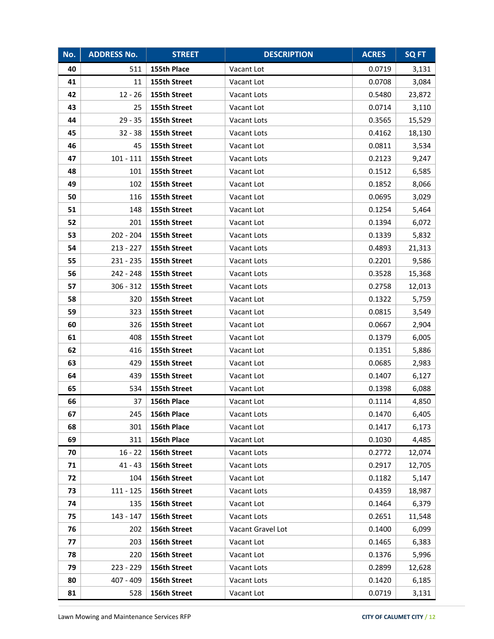| No. | <b>ADDRESS No.</b> | <b>STREET</b> | <b>DESCRIPTION</b> | <b>ACRES</b> | <b>SQFT</b> |
|-----|--------------------|---------------|--------------------|--------------|-------------|
| 40  | 511                | 155th Place   | Vacant Lot         | 0.0719       | 3,131       |
| 41  | 11                 | 155th Street  | Vacant Lot         | 0.0708       | 3,084       |
| 42  | $12 - 26$          | 155th Street  | Vacant Lots        | 0.5480       | 23,872      |
| 43  | 25                 | 155th Street  | Vacant Lot         | 0.0714       | 3,110       |
| 44  | $29 - 35$          | 155th Street  | Vacant Lots        | 0.3565       | 15,529      |
| 45  | $32 - 38$          | 155th Street  | Vacant Lots        | 0.4162       | 18,130      |
| 46  | 45                 | 155th Street  | Vacant Lot         | 0.0811       | 3,534       |
| 47  | $101 - 111$        | 155th Street  | Vacant Lots        | 0.2123       | 9,247       |
| 48  | 101                | 155th Street  | Vacant Lot         | 0.1512       | 6,585       |
| 49  | 102                | 155th Street  | Vacant Lot         | 0.1852       | 8,066       |
| 50  | 116                | 155th Street  | Vacant Lot         | 0.0695       | 3,029       |
| 51  | 148                | 155th Street  | Vacant Lot         | 0.1254       | 5,464       |
| 52  | 201                | 155th Street  | Vacant Lot         | 0.1394       | 6,072       |
| 53  | 202 - 204          | 155th Street  | Vacant Lots        | 0.1339       | 5,832       |
| 54  | 213 - 227          | 155th Street  | Vacant Lots        | 0.4893       | 21,313      |
| 55  | 231 - 235          | 155th Street  | Vacant Lots        | 0.2201       | 9,586       |
| 56  | 242 - 248          | 155th Street  | Vacant Lots        | 0.3528       | 15,368      |
| 57  | $306 - 312$        | 155th Street  | Vacant Lots        | 0.2758       | 12,013      |
| 58  | 320                | 155th Street  | Vacant Lot         | 0.1322       | 5,759       |
| 59  | 323                | 155th Street  | Vacant Lot         | 0.0815       | 3,549       |
| 60  | 326                | 155th Street  | Vacant Lot         | 0.0667       | 2,904       |
| 61  | 408                | 155th Street  | Vacant Lot         | 0.1379       | 6,005       |
| 62  | 416                | 155th Street  | Vacant Lot         | 0.1351       | 5,886       |
| 63  | 429                | 155th Street  | Vacant Lot         | 0.0685       | 2,983       |
| 64  | 439                | 155th Street  | Vacant Lot         | 0.1407       | 6,127       |
| 65  | 534                | 155th Street  | Vacant Lot         | 0.1398       | 6,088       |
| 66  | 37                 | 156th Place   | Vacant Lot         | 0.1114       | 4,850       |
| 67  | 245                | 156th Place   | Vacant Lots        | 0.1470       | 6,405       |
| 68  | 301                | 156th Place   | Vacant Lot         | 0.1417       | 6,173       |
| 69  | 311                | 156th Place   | Vacant Lot         | 0.1030       | 4,485       |
| 70  | $16 - 22$          | 156th Street  | Vacant Lots        | 0.2772       | 12,074      |
| 71  | $41 - 43$          | 156th Street  | Vacant Lots        | 0.2917       | 12,705      |
| 72  | 104                | 156th Street  | Vacant Lot         | 0.1182       | 5,147       |
| 73  | $111 - 125$        | 156th Street  | Vacant Lots        | 0.4359       | 18,987      |
| 74  | 135                | 156th Street  | Vacant Lot         | 0.1464       | 6,379       |
| 75  | 143 - 147          | 156th Street  | Vacant Lots        | 0.2651       | 11,548      |
| 76  | 202                | 156th Street  | Vacant Gravel Lot  | 0.1400       | 6,099       |
| 77  | 203                | 156th Street  | Vacant Lot         | 0.1465       | 6,383       |
| 78  | 220                | 156th Street  | Vacant Lot         | 0.1376       | 5,996       |
| 79  | 223 - 229          | 156th Street  | Vacant Lots        | 0.2899       | 12,628      |
| 80  | 407 - 409          | 156th Street  | Vacant Lots        | 0.1420       | 6,185       |
| 81  | 528                | 156th Street  | Vacant Lot         | 0.0719       | 3,131       |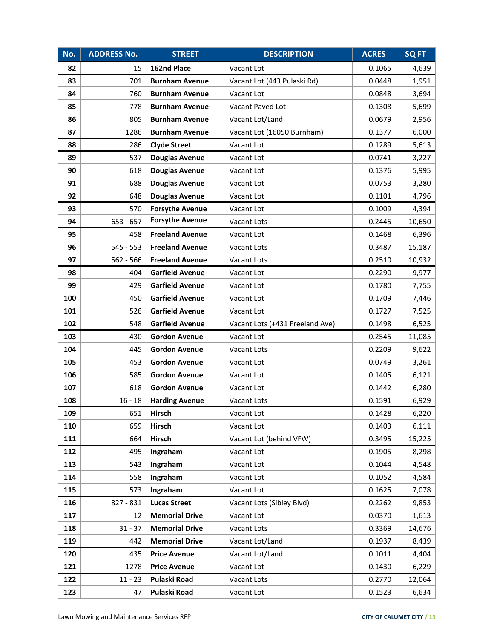| No. | <b>ADDRESS No.</b> | <b>STREET</b>          | <b>DESCRIPTION</b>              | <b>ACRES</b> | <b>SQ FT</b> |
|-----|--------------------|------------------------|---------------------------------|--------------|--------------|
| 82  | 15                 | 162nd Place            | Vacant Lot                      | 0.1065       | 4,639        |
| 83  | 701                | <b>Burnham Avenue</b>  | Vacant Lot (443 Pulaski Rd)     | 0.0448       | 1,951        |
| 84  | 760                | <b>Burnham Avenue</b>  | Vacant Lot                      | 0.0848       | 3,694        |
| 85  | 778                | <b>Burnham Avenue</b>  | Vacant Paved Lot                | 0.1308       | 5,699        |
| 86  | 805                | <b>Burnham Avenue</b>  | Vacant Lot/Land                 | 0.0679       | 2,956        |
| 87  | 1286               | <b>Burnham Avenue</b>  | Vacant Lot (16050 Burnham)      | 0.1377       | 6,000        |
| 88  | 286                | <b>Clyde Street</b>    | Vacant Lot                      | 0.1289       | 5,613        |
| 89  | 537                | <b>Douglas Avenue</b>  | Vacant Lot                      | 0.0741       | 3,227        |
| 90  | 618                | <b>Douglas Avenue</b>  | Vacant Lot                      | 0.1376       | 5,995        |
| 91  | 688                | <b>Douglas Avenue</b>  | Vacant Lot                      | 0.0753       | 3,280        |
| 92  | 648                | <b>Douglas Avenue</b>  | Vacant Lot                      | 0.1101       | 4,796        |
| 93  | 570                | <b>Forsythe Avenue</b> | Vacant Lot                      | 0.1009       | 4,394        |
| 94  | 653 - 657          | <b>Forsythe Avenue</b> | Vacant Lots                     | 0.2445       | 10,650       |
| 95  | 458                | <b>Freeland Avenue</b> | Vacant Lot                      | 0.1468       | 6,396        |
| 96  | 545 - 553          | <b>Freeland Avenue</b> | Vacant Lots                     | 0.3487       | 15,187       |
| 97  | 562 - 566          | <b>Freeland Avenue</b> | Vacant Lots                     | 0.2510       | 10,932       |
| 98  | 404                | <b>Garfield Avenue</b> | Vacant Lot                      | 0.2290       | 9,977        |
| 99  | 429                | <b>Garfield Avenue</b> | Vacant Lot                      | 0.1780       | 7,755        |
| 100 | 450                | <b>Garfield Avenue</b> | Vacant Lot                      | 0.1709       | 7,446        |
| 101 | 526                | <b>Garfield Avenue</b> | Vacant Lot                      | 0.1727       | 7,525        |
| 102 | 548                | <b>Garfield Avenue</b> | Vacant Lots (+431 Freeland Ave) | 0.1498       | 6,525        |
| 103 | 430                | <b>Gordon Avenue</b>   | Vacant Lot                      | 0.2545       | 11,085       |
| 104 | 445                | <b>Gordon Avenue</b>   | Vacant Lots                     | 0.2209       | 9,622        |
| 105 | 453                | <b>Gordon Avenue</b>   | Vacant Lot                      | 0.0749       | 3,261        |
| 106 | 585                | <b>Gordon Avenue</b>   | Vacant Lot                      | 0.1405       | 6,121        |
| 107 | 618                | <b>Gordon Avenue</b>   | Vacant Lot                      | 0.1442       | 6,280        |
| 108 | $16 - 18$          | <b>Harding Avenue</b>  | Vacant Lots                     | 0.1591       | 6,929        |
| 109 | 651                | <b>Hirsch</b>          | Vacant Lot                      | 0.1428       | 6,220        |
| 110 | 659                | Hirsch                 | Vacant Lot                      | 0.1403       | 6,111        |
| 111 | 664                | Hirsch                 | Vacant Lot (behind VFW)         | 0.3495       | 15,225       |
| 112 | 495                | Ingraham               | Vacant Lot                      | 0.1905       | 8,298        |
| 113 | 543                | Ingraham               | Vacant Lot                      | 0.1044       | 4,548        |
| 114 | 558                | Ingraham               | Vacant Lot                      | 0.1052       | 4,584        |
| 115 | 573                | Ingraham               | Vacant Lot                      | 0.1625       | 7,078        |
| 116 | 827 - 831          | <b>Lucas Street</b>    | Vacant Lots (Sibley Blvd)       | 0.2262       | 9,853        |
| 117 | 12                 | <b>Memorial Drive</b>  | Vacant Lot                      | 0.0370       | 1,613        |
| 118 | $31 - 37$          | <b>Memorial Drive</b>  | Vacant Lots                     | 0.3369       | 14,676       |
| 119 | 442                | <b>Memorial Drive</b>  | Vacant Lot/Land                 | 0.1937       | 8,439        |
| 120 | 435                | <b>Price Avenue</b>    | Vacant Lot/Land                 | 0.1011       | 4,404        |
| 121 | 1278               | <b>Price Avenue</b>    | Vacant Lot                      | 0.1430       | 6,229        |
| 122 | $11 - 23$          | Pulaski Road           | Vacant Lots                     | 0.2770       | 12,064       |
| 123 | 47                 | Pulaski Road           | Vacant Lot                      | 0.1523       | 6,634        |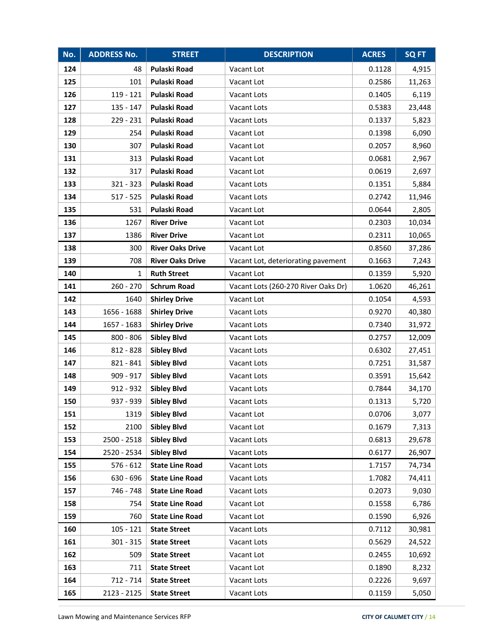| No. | <b>ADDRESS No.</b> | <b>STREET</b>           | <b>DESCRIPTION</b>                  | <b>ACRES</b> | <b>SQFT</b> |
|-----|--------------------|-------------------------|-------------------------------------|--------------|-------------|
| 124 | 48                 | <b>Pulaski Road</b>     | Vacant Lot                          | 0.1128       | 4,915       |
| 125 | 101                | Pulaski Road            | Vacant Lot                          | 0.2586       | 11,263      |
| 126 | $119 - 121$        | <b>Pulaski Road</b>     | Vacant Lots                         | 0.1405       | 6,119       |
| 127 | $135 - 147$        | Pulaski Road            | Vacant Lots                         | 0.5383       | 23,448      |
| 128 | 229 - 231          | Pulaski Road            | Vacant Lots                         | 0.1337       | 5,823       |
| 129 | 254                | Pulaski Road            | Vacant Lot                          | 0.1398       | 6,090       |
| 130 | 307                | <b>Pulaski Road</b>     | Vacant Lot                          | 0.2057       | 8,960       |
| 131 | 313                | Pulaski Road            | Vacant Lot                          | 0.0681       | 2,967       |
| 132 | 317                | Pulaski Road            | Vacant Lot                          | 0.0619       | 2,697       |
| 133 | $321 - 323$        | Pulaski Road            | Vacant Lots                         | 0.1351       | 5,884       |
| 134 | $517 - 525$        | Pulaski Road            | Vacant Lots                         | 0.2742       | 11,946      |
| 135 | 531                | Pulaski Road            | Vacant Lot                          | 0.0644       | 2,805       |
| 136 | 1267               | <b>River Drive</b>      | Vacant Lot                          | 0.2303       | 10,034      |
| 137 | 1386               | <b>River Drive</b>      | Vacant Lot                          | 0.2311       | 10,065      |
| 138 | 300                | <b>River Oaks Drive</b> | Vacant Lot                          | 0.8560       | 37,286      |
| 139 | 708                | <b>River Oaks Drive</b> | Vacant Lot, deteriorating pavement  | 0.1663       | 7,243       |
| 140 | $\mathbf{1}$       | <b>Ruth Street</b>      | Vacant Lot                          | 0.1359       | 5,920       |
| 141 | $260 - 270$        | <b>Schrum Road</b>      | Vacant Lots (260-270 River Oaks Dr) | 1.0620       | 46,261      |
| 142 | 1640               | <b>Shirley Drive</b>    | Vacant Lot                          | 0.1054       | 4,593       |
| 143 | 1656 - 1688        | <b>Shirley Drive</b>    | Vacant Lots                         | 0.9270       | 40,380      |
| 144 | 1657 - 1683        | <b>Shirley Drive</b>    | Vacant Lots                         | 0.7340       | 31,972      |
| 145 | 800 - 806          | <b>Sibley Blvd</b>      | Vacant Lots                         | 0.2757       | 12,009      |
| 146 | 812 - 828          | <b>Sibley Blvd</b>      | Vacant Lots                         | 0.6302       | 27,451      |
| 147 | 821 - 841          | <b>Sibley Blvd</b>      | Vacant Lots                         | 0.7251       | 31,587      |
| 148 | $909 - 917$        | <b>Sibley Blvd</b>      | Vacant Lots                         | 0.3591       | 15,642      |
| 149 | 912 - 932          | <b>Sibley Blvd</b>      | Vacant Lots                         | 0.7844       | 34,170      |
| 150 | 937 - 939          | <b>Sibley Blvd</b>      | Vacant Lots                         | 0.1313       | 5,720       |
| 151 | 1319               | <b>Sibley Blvd</b>      | Vacant Lot                          | 0.0706       | 3,077       |
| 152 | 2100               | <b>Sibley Blvd</b>      | Vacant Lot                          | 0.1679       | 7,313       |
| 153 | 2500 - 2518        | <b>Sibley Blvd</b>      | Vacant Lots                         | 0.6813       | 29,678      |
| 154 | 2520 - 2534        | <b>Sibley Blvd</b>      | Vacant Lots                         | 0.6177       | 26,907      |
| 155 | $576 - 612$        | <b>State Line Road</b>  | Vacant Lots                         | 1.7157       | 74,734      |
| 156 | 630 - 696          | <b>State Line Road</b>  | Vacant Lots                         | 1.7082       | 74,411      |
| 157 | 746 - 748          | <b>State Line Road</b>  | Vacant Lots                         | 0.2073       | 9,030       |
| 158 | 754                | <b>State Line Road</b>  | Vacant Lot                          | 0.1558       | 6,786       |
| 159 | 760                | <b>State Line Road</b>  | Vacant Lot                          | 0.1590       | 6,926       |
| 160 | $105 - 121$        | <b>State Street</b>     | Vacant Lots                         | 0.7112       | 30,981      |
| 161 | $301 - 315$        | <b>State Street</b>     | Vacant Lots                         | 0.5629       | 24,522      |
| 162 | 509                | <b>State Street</b>     | Vacant Lot                          | 0.2455       | 10,692      |
| 163 | 711                | <b>State Street</b>     | Vacant Lot                          | 0.1890       | 8,232       |
| 164 | 712 - 714          | <b>State Street</b>     | Vacant Lots                         | 0.2226       | 9,697       |
| 165 | 2123 - 2125        | <b>State Street</b>     | Vacant Lots                         | 0.1159       | 5,050       |